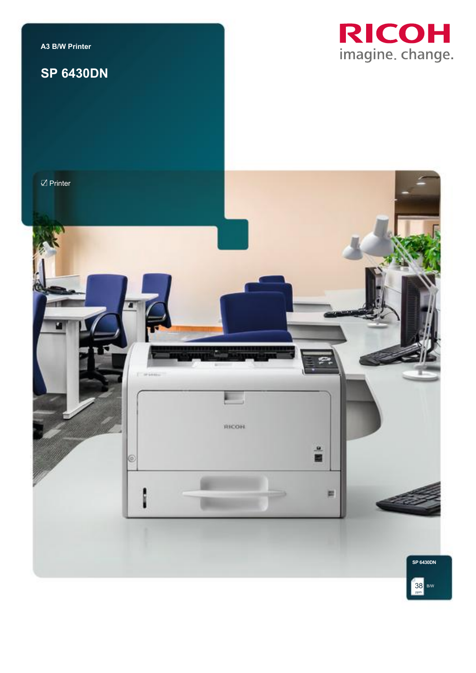

## **SP 6430DN**





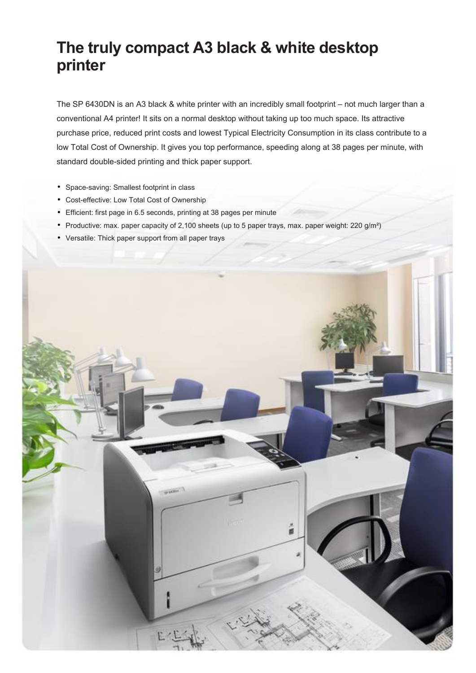# **The truly compact A3 black & white desktop printer**

The SP 6430DN is an A3 black & white printer with an incredibly small footprint – not much larger than a conventional A4 printer! It sits on a normal desktop without taking up too much space. Its attractive purchase price, reduced print costs and lowest Typical Electricity Consumption in its class contribute to a low Total Cost of Ownership. It gives you top performance, speeding along at 38 pages per minute, with standard double-sided printing and thick paper support.

- Space-saving: Smallest footprint in class
- Cost-effective: Low Total Cost of Ownership
- Efficient: first page in 6.5 seconds, printing at 38 pages per minute
- Productive: max. paper capacity of 2,100 sheets (up to 5 paper trays, max. paper weight: 220  $g/m<sup>2</sup>$ )
- Versatile: Thick paper support from all paper trays

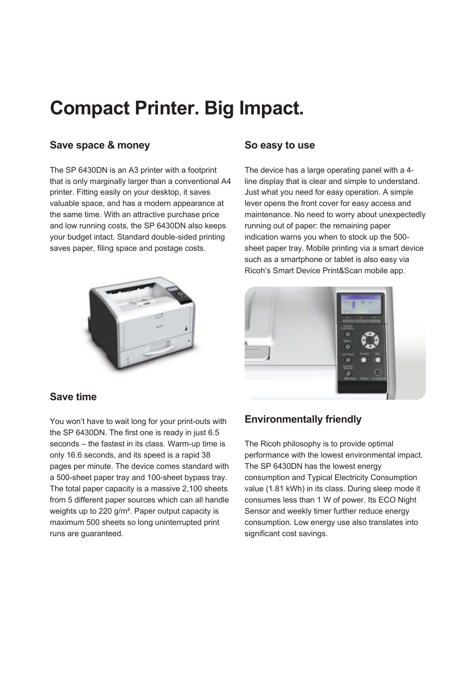# **Compact Printer. Big Impact.**

## **Save space & money**

The SP 6430DN is an A3 printer with a footprint that is only marginally larger than a conventional A4 printer. Fitting easily on your desktop, it saves valuable space, and has a modern appearance at the same time. With an attractive purchase price and low running costs, the SP 6430DN also keeps your budget intact. Standard double-sided printing saves paper, filing space and postage costs.



## **So easy to use**

The device has a large operating panel with a 4 line display that is clear and simple to understand. Just what you need for easy operation. A simple lever opens the front cover for easy access and maintenance. No need to worry about unexpectedly running out of paper: the remaining paper indication warns you when to stock up the 500 sheet paper tray. Mobile printing via a smart device such as a smartphone or tablet is also easy via Ricoh's Smart Device Print&Scan mobile app.



## **Save time**

You won't have to wait long for your print-outs with the SP 6430DN. The first one is ready in just 6.5 seconds – the fastest in its class. Warm-up time is only 16.6 seconds, and its speed is a rapid 38 pages per minute. The device comes standard with a 500-sheet paper tray and 100-sheet bypass tray. The total paper capacity is a massive 2,100 sheets from 5 different paper sources which can all handle weights up to 220 g/m². Paper output capacity is maximum 500 sheets so long uninterrupted print runs are guaranteed.

## **Environmentally friendly**

The Ricoh philosophy is to provide optimal performance with the lowest environmental impact. The SP 6430DN has the lowest energy consumption and Typical Electricity Consumption value (1.81 kWh) in its class. During sleep mode it consumes less than 1 W of power. Its ECO Night Sensor and weekly timer further reduce energy consumption. Low energy use also translates into significant cost savings.